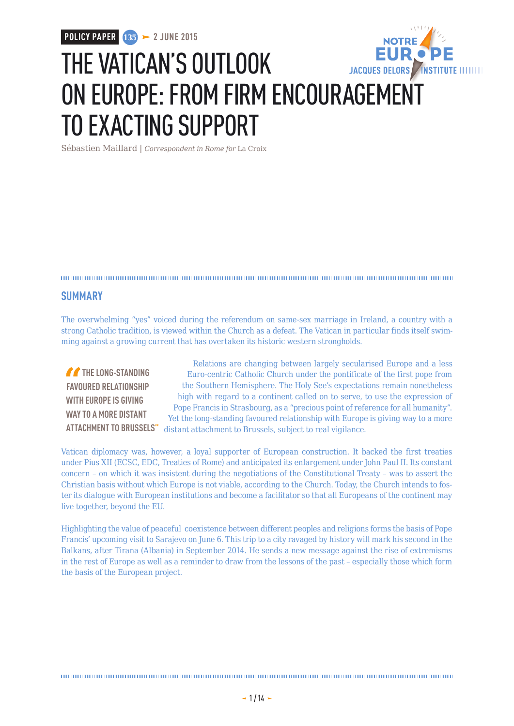# THE VATICAN'S OUTLOOK JACQUES DELORS / INSTITUTE IIIIIIII ON EUROPE: FROM FIRM ENCOURAGEMENT TO EXACTING SUPPORT

Sébastien Maillard | *Correspondent in Rome for* La Croix

## **SUMMARY**

The overwhelming "yes" voiced during the referendum on same-sex marriage in Ireland, a country with a strong Catholic tradition, is viewed within the Church as a defeat. The Vatican in particular finds itself swimming against a growing current that has overtaken its historic western strongholds.

**THE LONG-STANDING FAVOURED RELATIONSHIP WITH EUROPE IS GIVING WAY TO A MORE DISTANT** 

**ATTACHMENT TO BRUSSELS"** distant attachment to Brussels, subject to real vigilance. Relations are changing between largely secularised Europe and a less Euro-centric Catholic Church under the pontificate of the first pope from the Southern Hemisphere. The Holy See's expectations remain nonetheless high with regard to a continent called on to serve, to use the expression of Pope Francis in Strasbourg, as a "precious point of reference for all humanity". Yet the long-standing favoured relationship with Europe is giving way to a more

Vatican diplomacy was, however, a loyal supporter of European construction. It backed the first treaties under Pius XII (ECSC, EDC, Treaties of Rome) and anticipated its enlargement under John Paul II. Its constant concern – on which it was insistent during the negotiations of the Constitutional Treaty – was to assert the Christian basis without which Europe is not viable, according to the Church. Today, the Church intends to foster its dialogue with European institutions and become a facilitator so that all Europeans of the continent may live together, beyond the EU.

Highlighting the value of peaceful coexistence between different peoples and religions forms the basis of Pope Francis' upcoming visit to Sarajevo on June 6. This trip to a city ravaged by history will mark his second in the Balkans, after Tirana (Albania) in September 2014. He sends a new message against the rise of extremisms in the rest of Europe as well as a reminder to draw from the lessons of the past – especially those which form the basis of the European project.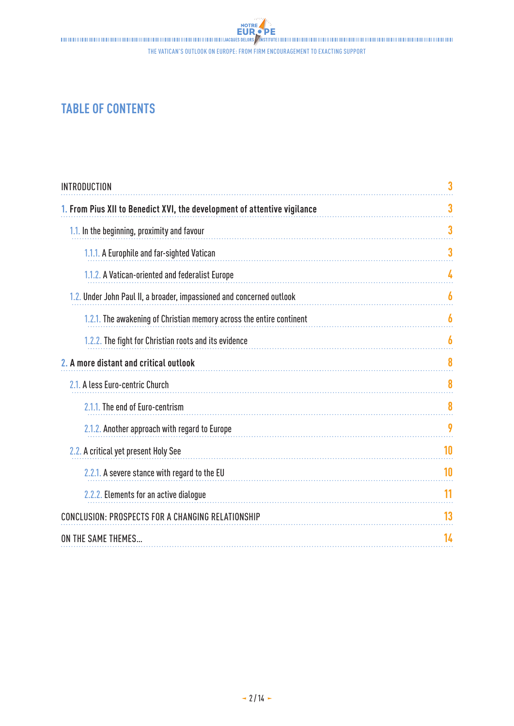The Vatican's outlook on Europe: from firm encouragement to exacting support

# **TABLE OF CONTENTS**

| <b>INTRODUCTION</b>                                                      | 3  |
|--------------------------------------------------------------------------|----|
| 1. From Pius XII to Benedict XVI, the development of attentive vigilance | 3  |
| 1.1. In the beginning, proximity and favour                              | 3  |
| 1.1.1. A Europhile and far-sighted Vatican                               | 3  |
| 1.1.2. A Vatican-oriented and federalist Europe                          | 4  |
| 1.2. Under John Paul II, a broader, impassioned and concerned outlook    | 6  |
| 1.2.1. The awakening of Christian memory across the entire continent     | 6  |
| 1.2.2. The fight for Christian roots and its evidence                    | 6  |
| 2. A more distant and critical outlook                                   | 8  |
| 2.1. A less Euro-centric Church                                          | 8  |
| 2.1.1. The end of Euro-centrism                                          | 8  |
| 2.1.2. Another approach with regard to Europe                            | 9  |
| 2.2. A critical yet present Holy See                                     | 10 |
| 2.2.1. A severe stance with regard to the EU                             | 10 |
| 2.2.2. Elements for an active dialogue                                   | 11 |
| <b>CONCLUSION: PROSPECTS FOR A CHANGING RELATIONSHIP</b>                 | 13 |
| ON THE SAME THEMES                                                       | 14 |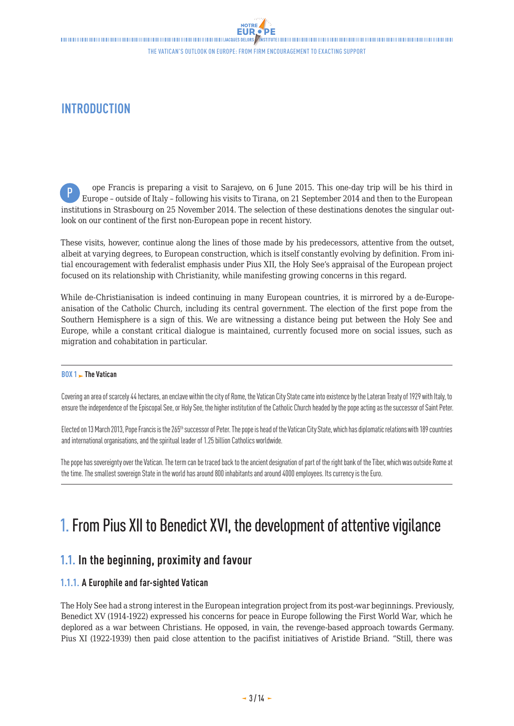# <span id="page-2-0"></span>**INTRODUCTION**

ope Francis is preparing a visit to Sarajevo, on 6 June 2015. This one-day trip will be his third in Europe – outside of Italy – following his visits to Tirana, on 21 September 2014 and then to the European institutions in Strasbourg on 25 November 2014. The selection of these destinations denotes the singular outlook on our continent of the first non-European pope in recent history. P

These visits, however, continue along the lines of those made by his predecessors, attentive from the outset, albeit at varying degrees, to European construction, which is itself constantly evolving by definition. From initial encouragement with federalist emphasis under Pius XII, the Holy See's appraisal of the European project focused on its relationship with Christianity, while manifesting growing concerns in this regard.

While de-Christianisation is indeed continuing in many European countries, it is mirrored by a de-Europeanisation of the Catholic Church, including its central government. The election of the first pope from the Southern Hemisphere is a sign of this. We are witnessing a distance being put between the Holy See and Europe, while a constant critical dialogue is maintained, currently focused more on social issues, such as migration and cohabitation in particular.

#### **BOX 1 The Vatican**

Covering an area of scarcely 44 hectares, an enclave within the city of Rome, the Vatican City State came into existence by the Lateran Treaty of 1929 with Italy, to ensure the independence of the Episcopal See, or Holy See, the higher institution of the Catholic Church headed by the pope acting as the successor of Saint Peter.

Elected on 13 March 2013, Pope Francis is the 265<sup>th</sup> successor of Peter. The pope is head of the Vatican City State, which has diplomatic relations with 189 countries and international organisations, and the spiritual leader of 1.25 billion Catholics worldwide.

The pope has sovereignty over the Vatican. The term can be traced back to the ancient designation of part of the right bank of the Tiber, which was outside Rome at the time. The smallest sovereign State in the world has around 800 inhabitants and around 4000 employees. Its currency is the Euro.

# 1. From Pius XII to Benedict XVI, the development of attentive vigilance

## **1.1. In the beginning, proximity and favour**

## **1.1.1. A Europhile and far-sighted Vatican**

The Holy See had a strong interest in the European integration project from its post-war beginnings. Previously, Benedict XV (1914-1922) expressed his concerns for peace in Europe following the First World War, which he deplored as a war between Christians. He opposed, in vain, the revenge-based approach towards Germany. Pius XI (1922-1939) then paid close attention to the pacifist initiatives of Aristide Briand. "Still, there was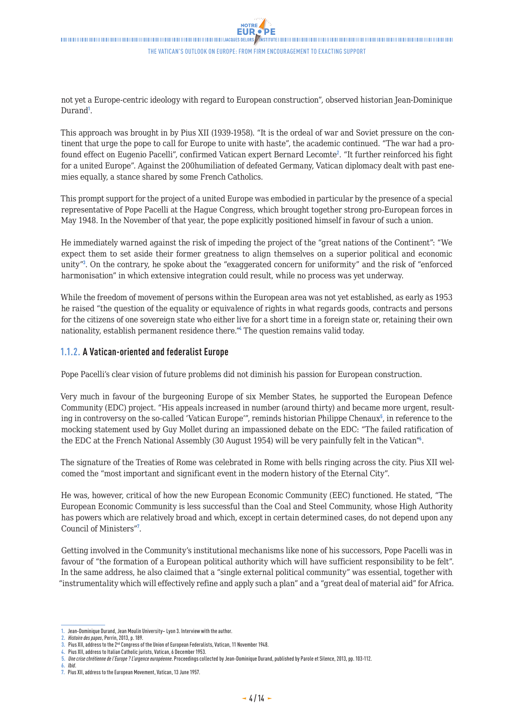<span id="page-3-0"></span>not yet a Europe-centric ideology with regard to European construction", observed historian Jean-Dominique Durand<sup>1</sup>.

This approach was brought in by Pius XII (1939-1958). "It is the ordeal of war and Soviet pressure on the continent that urge the pope to call for Europe to unite with haste", the academic continued. "The war had a profound effect on Eugenio Pacelli", confirmed Vatican expert Bernard Lecomte<sup>2</sup>. "It further reinforced his fight for a united Europe". Against the 200humiliation of defeated Germany, Vatican diplomacy dealt with past enemies equally, a stance shared by some French Catholics.

This prompt support for the project of a united Europe was embodied in particular by the presence of a special representative of Pope Pacelli at the Hague Congress, which brought together strong pro-European forces in May 1948. In the November of that year, the pope explicitly positioned himself in favour of such a union.

He immediately warned against the risk of impeding the project of the "great nations of the Continent": "We expect them to set aside their former greatness to align themselves on a superior political and economic unity"<sup>3</sup> . On the contrary, he spoke about the "exaggerated concern for uniformity" and the risk of "enforced harmonisation" in which extensive integration could result, while no process was yet underway.

While the freedom of movement of persons within the European area was not yet established, as early as 1953 he raised "the question of the equality or equivalence of rights in what regards goods, contracts and persons for the citizens of one sovereign state who either live for a short time in a foreign state or, retaining their own nationality, establish permanent residence there."<sup>4</sup> The question remains valid today.

### **1.1.2. A Vatican-oriented and federalist Europe**

Pope Pacelli's clear vision of future problems did not diminish his passion for European construction.

Very much in favour of the burgeoning Europe of six Member States, he supported the European Defence Community (EDC) project. "His appeals increased in number (around thirty) and became more urgent, resulting in controversy on the so-called 'Vatican Europe'", reminds historian Philippe Chenaux<sup>5</sup>, in reference to the mocking statement used by Guy Mollet during an impassioned debate on the EDC: "The failed ratification of the EDC at the French National Assembly (30 August 1954) will be very painfully felt in the Vatican"<sup>6</sup>.

The signature of the Treaties of Rome was celebrated in Rome with bells ringing across the city. Pius XII welcomed the "most important and significant event in the modern history of the Eternal City".

He was, however, critical of how the new European Economic Community (EEC) functioned. He stated, "The European Economic Community is less successful than the Coal and Steel Community, whose High Authority has powers which are relatively broad and which, except in certain determined cases, do not depend upon any Council of Ministers"<sup>7</sup> .

Getting involved in the Community's institutional mechanisms like none of his successors, Pope Pacelli was in favour of "the formation of a European political authority which will have sufficient responsibility to be felt". In the same address, he also claimed that a "single external political community" was essential, together with "instrumentality which will effectively refine and apply such a plan" and a "great deal of material aid" for Africa.

Jean-Dominique Durand, Jean Moulin University- Lyon 3. Interview with the author.

**<sup>2.</sup>** *Histoire des papes*, Perrin, 2013, p. 189.

**<sup>3.</sup>** Pius XII, address to the 2nd Congress of the Union of European Federalists, Vatican, 11 November 1948.

**<sup>4.</sup>** Pius XII, address to Italian Catholic jurists, Vatican, 6 December 1953.

**<sup>5.</sup>** *Une crise chrétienne de l'Europe? L'urgence européenne*. Proceedings collected by Jean-Dominique Durand, published by Parole et Silence, 2013, pp. 103-112.

**<sup>6.</sup>** *Ibid*.

**<sup>7.</sup>** Pius XII, address to the European Movement, Vatican, 13 June 1957.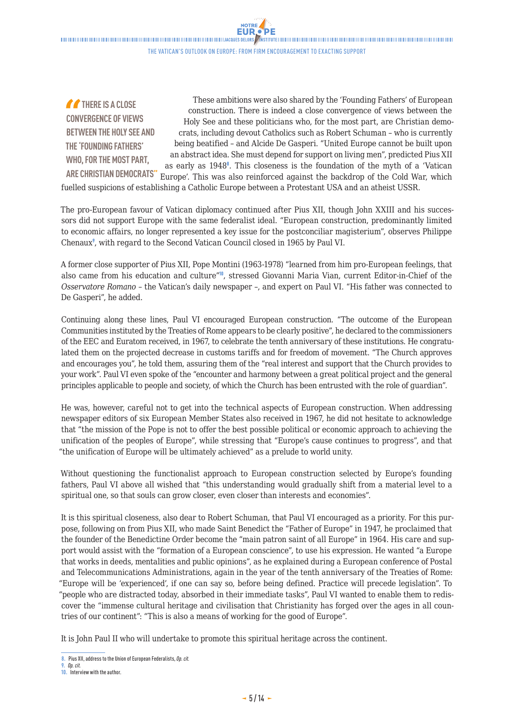$\label{thm:main} The maximum minimum minimum minimum minimum number of samples. The structure information minimum minimum minimum number of samples are the same, and the number of samples are the same. The number of samples are the same, the number of samples are the same, the number of samples are the same, the number of samples are the same, the number of samples are the same, the number of samples are the same, the number of samples are the same, the number of samples are the same, the number of samples are the same, the number of samples are the same, the number of samples are the same, the number of samples are the same, the number of samples are the same, the number of samples are the same, the number of samples are the same, the number of samples are the same, the number of samples are the same, the number of samples are the same, the number of samples are the same, the number of samples are the same, the number of samples are the same, the number of samples are the same, the number of samples$ The Vatican's outlook on Europe: from firm encouragement to exacting support

**NOTRE** 

**THERE IS A CLOSE CONVERGENCE OF VIEWS BETWEEN THE HOLY SEE AND THE 'FOUNDING FATHERS' WHO, FOR THE MOST PART, ARE CHRISTIAN DEMOCRATS"** These ambitions were also shared by the 'Founding Fathers' of European construction. There is indeed a close convergence of views between the Holy See and these politicians who, for the most part, are Christian democrats, including devout Catholics such as Robert Schuman – who is currently being beatified – and Alcide De Gasperi. "United Europe cannot be built upon an abstract idea. She must depend for support on living men", predicted Pius XII as early as  $1948^{\circ}$ . This closeness is the foundation of the myth of a 'Vatican Europe'. This was also reinforced against the backdrop of the Cold War, which fuelled suspicions of establishing a Catholic Europe between a Protestant USA and an atheist USSR.

The pro-European favour of Vatican diplomacy continued after Pius XII, though John XXIII and his successors did not support Europe with the same federalist ideal. "European construction, predominantly limited to economic affairs, no longer represented a key issue for the postconciliar magisterium", observes Philippe Chenaux<sup>9</sup>, with regard to the Second Vatican Council closed in 1965 by Paul VI.

A former close supporter of Pius XII, Pope Montini (1963-1978) "learned from him pro-European feelings, that also came from his education and culture"<sup>10</sup>, stressed Giovanni Maria Vian, current Editor-in-Chief of the *Osservatore Romano* – the Vatican's daily newspaper –, and expert on Paul VI. "His father was connected to De Gasperi", he added.

Continuing along these lines, Paul VI encouraged European construction. "The outcome of the European Communities instituted by the Treaties of Rome appears to be clearly positive", he declared to the commissioners of the EEC and Euratom received, in 1967, to celebrate the tenth anniversary of these institutions. He congratulated them on the projected decrease in customs tariffs and for freedom of movement. "The Church approves and encourages you", he told them, assuring them of the "real interest and support that the Church provides to your work". Paul VI even spoke of the "encounter and harmony between a great political project and the general principles applicable to people and society, of which the Church has been entrusted with the role of guardian".

He was, however, careful not to get into the technical aspects of European construction. When addressing newspaper editors of six European Member States also received in 1967, he did not hesitate to acknowledge that "the mission of the Pope is not to offer the best possible political or economic approach to achieving the unification of the peoples of Europe", while stressing that "Europe's cause continues to progress", and that "the unification of Europe will be ultimately achieved" as a prelude to world unity.

Without questioning the functionalist approach to European construction selected by Europe's founding fathers, Paul VI above all wished that "this understanding would gradually shift from a material level to a spiritual one, so that souls can grow closer, even closer than interests and economies".

It is this spiritual closeness, also dear to Robert Schuman, that Paul VI encouraged as a priority. For this purpose, following on from Pius XII, who made Saint Benedict the "Father of Europe" in 1947, he proclaimed that the founder of the Benedictine Order become the "main patron saint of all Europe" in 1964. His care and support would assist with the "formation of a European conscience", to use his expression. He wanted "a Europe that works in deeds, mentalities and public opinions", as he explained during a European conference of Postal and Telecommunications Administrations, again in the year of the tenth anniversary of the Treaties of Rome: "Europe will be 'experienced', if one can say so, before being defined. Practice will precede legislation". To "people who are distracted today, absorbed in their immediate tasks", Paul VI wanted to enable them to rediscover the "immense cultural heritage and civilisation that Christianity has forged over the ages in all countries of our continent": "This is also a means of working for the good of Europe".

It is John Paul II who will undertake to promote this spiritual heritage across the continent.

**<sup>8.</sup>** Pius XII, address to the Union of European Federalists, *Op. cit.*

**<sup>9.</sup>** *Op. cit.* **10.** Interview with the author.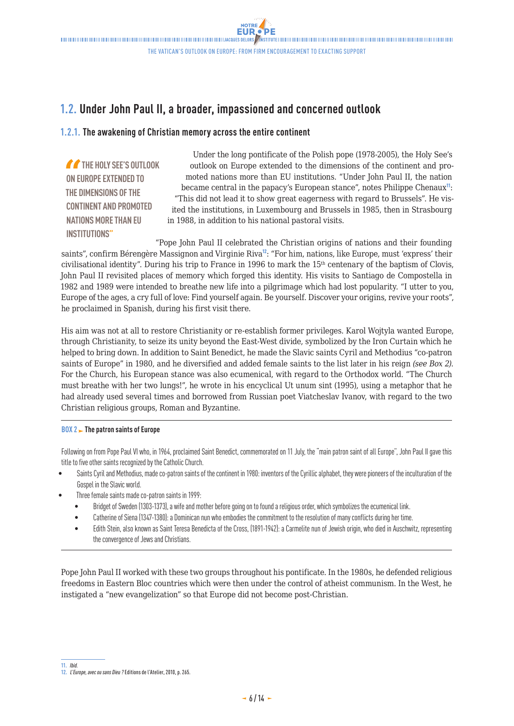# <span id="page-5-0"></span>**1.2. Under John Paul II, a broader, impassioned and concerned outlook**

### **1.2.1. The awakening of Christian memory across the entire continent**

*THE HOLY SEE'S OUTLOOK* **ON EUROPE EXTENDED TO THE DIMENSIONS OF THE CONTINENT AND PROMOTED NATIONS MORE THAN EU INSTITUTIONS"**

Under the long pontificate of the Polish pope (1978-2005), the Holy See's outlook on Europe extended to the dimensions of the continent and promoted nations more than EU institutions. "Under John Paul II, the nation became central in the papacy's European stance", notes Philippe Chenaux $\mathfrak{n}$ : "This did not lead it to show great eagerness with regard to Brussels". He visited the institutions, in Luxembourg and Brussels in 1985, then in Strasbourg in 1988, in addition to his national pastoral visits.

"Pope John Paul II celebrated the Christian origins of nations and their founding saints", confirm Bérengère Massignon and Virginie Riva<sup>12</sup>: "For him, nations, like Europe, must 'express' their civilisational identity". During his trip to France in 1996 to mark the 15th centenary of the baptism of Clovis, John Paul II revisited places of memory which forged this identity. His visits to Santiago de Compostella in 1982 and 1989 were intended to breathe new life into a pilgrimage which had lost popularity. "I utter to you, Europe of the ages, a cry full of love: Find yourself again. Be yourself. Discover your origins, revive your roots", he proclaimed in Spanish, during his first visit there.

His aim was not at all to restore Christianity or re-establish former privileges. Karol Wojtyla wanted Europe, through Christianity, to seize its unity beyond the East-West divide, symbolized by the Iron Curtain which he helped to bring down. In addition to Saint Benedict, he made the Slavic saints Cyril and Methodius "co-patron saints of Europe" in 1980, and he diversified and added female saints to the list later in his reign *(see Box 2)*. For the Church, his European stance was also ecumenical, with regard to the Orthodox world. "The Church must breathe with her two lungs!", he wrote in his encyclical Ut unum sint (1995), using a metaphor that he had already used several times and borrowed from Russian poet Viatcheslav Ivanov, with regard to the two Christian religious groups, Roman and Byzantine.

#### **BOX 2 The patron saints of Europe**

Following on from Pope Paul VI who, in 1964, proclaimed Saint Benedict, commemorated on 11 July, the "main patron saint of all Europe", John Paul II gave this title to five other saints recognized by the Catholic Church.

- Saints Cyril and Methodius, made co-patron saints of the continent in 1980: inventors of the Cyrillic alphabet, they were pioneers of the inculturation of the Gospel in the Slavic world.
- Three female saints made co-patron saints in 1999:
	- Bridget of Sweden (1303-1373), a wife and mother before going on to found a religious order, which symbolizes the ecumenical link.
	- Catherine of Siena (1347-1380): a Dominican nun who embodies the commitment to the resolution of many conflicts during her time.
	- Edith Stein, also known as Saint Teresa Benedicta of the Cross, (1891-1942): a Carmelite nun of Jewish origin, who died in Auschwitz, representing the convergence of Jews and Christians.

Pope John Paul II worked with these two groups throughout his pontificate. In the 1980s, he defended religious freedoms in Eastern Bloc countries which were then under the control of atheist communism. In the West, he instigated a "new evangelization" so that Europe did not become post-Christian.

**<sup>11.</sup>** *Ibid.* **12.** *L'Europe, avec ou sans Dieu?* Editions de l'Atelier, 2010, p. 265.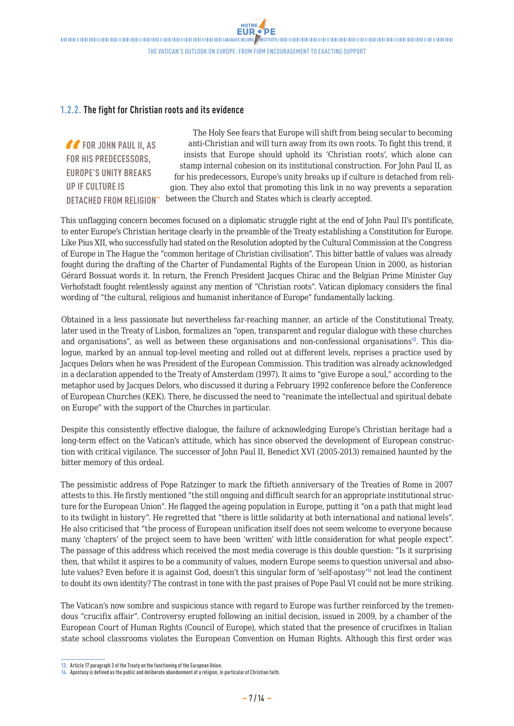## **1.2.2. The fight for Christian roots and its evidence**

*f* FOR JOHN PAUL II, AS **FOR HIS PREDECESSORS, EUROPE'S UNITY BREAKS UP IF CULTURE IS** 

**DETACHED FROM RELIGION"** between the Church and States which is clearly accepted. The Holy See fears that Europe will shift from being secular to becoming anti-Christian and will turn away from its own roots. To fight this trend, it insists that Europe should uphold its 'Christian roots', which alone can stamp internal cohesion on its institutional construction. For John Paul II, as for his predecessors, Europe's unity breaks up if culture is detached from religion. They also extol that promoting this link in no way prevents a separation

This unflagging concern becomes focused on a diplomatic struggle right at the end of John Paul II's pontificate, to enter Europe's Christian heritage clearly in the preamble of the Treaty establishing a Constitution for Europe. Like Pius XII, who successfully had stated on the Resolution adopted by the Cultural Commission at the Congress of Europe in The Hague the "common heritage of Christian civilisation". This bitter battle of values was already fought during the drafting of the Charter of Fundamental Rights of the European Union in 2000, as historian Gérard Bossuat words it. In return, the French President Jacques Chirac and the Belgian Prime Minister Guy Verhofstadt fought relentlessly against any mention of "Christian roots". Vatican diplomacy considers the final wording of "the cultural, religious and humanist inheritance of Europe" fundamentally lacking.

Obtained in a less passionate but nevertheless far-reaching manner, an article of the Constitutional Treaty, later used in the Treaty of Lisbon, formalizes an "open, transparent and regular dialogue with these churches and organisations", as well as between these organisations and non-confessional organisations<sup>13</sup>. This dialogue, marked by an annual top-level meeting and rolled out at different levels, reprises a practice used by Jacques Delors when he was President of the European Commission. This tradition was already acknowledged in a declaration appended to the Treaty of Amsterdam (1997). It aims to "give Europe a soul," according to the metaphor used by Jacques Delors, who discussed it during a February 1992 conference before the Conference of European Churches (KEK). There, he discussed the need to "reanimate the intellectual and spiritual debate on Europe" with the support of the Churches in particular.

Despite this consistently effective dialogue, the failure of acknowledging Europe's Christian heritage had a long-term effect on the Vatican's attitude, which has since observed the development of European construction with critical vigilance. The successor of John Paul II, Benedict XVI (2005-2013) remained haunted by the bitter memory of this ordeal.

The pessimistic address of Pope Ratzinger to mark the fiftieth anniversary of the Treaties of Rome in 2007 attests to this. He firstly mentioned "the still ongoing and difficult search for an appropriate institutional structure for the European Union". He flagged the ageing population in Europe, putting it "on a path that might lead to its twilight in history". He regretted that "there is little solidarity at both international and national levels". He also criticised that "the process of European unification itself does not seem welcome to everyone because many 'chapters' of the project seem to have been 'written' with little consideration for what people expect". The passage of this address which received the most media coverage is this double question: "Is it surprising then, that whilst it aspires to be a community of values, modern Europe seems to question universal and absolute values? Even before it is against God, doesn't this singular form of 'self-apostasy'<sup>14</sup> not lead the continent to doubt its own identity? The contrast in tone with the past praises of Pope Paul VI could not be more striking.

The Vatican's now sombre and suspicious stance with regard to Europe was further reinforced by the tremendous "crucifix affair". Controversy erupted following an initial decision, issued in 2009, by a chamber of the European Court of Human Rights (Council of Europe), which stated that the presence of crucifixes in Italian state school classrooms violates the European Convention on Human Rights. Although this first order was

**<sup>13.</sup>** Article 17 paragraph 3 of the Treaty on the functioning of the European Union.

**<sup>14.</sup>** Apostasy is defined as the public and deliberate abandonment of a religion, in particular of Christian faith.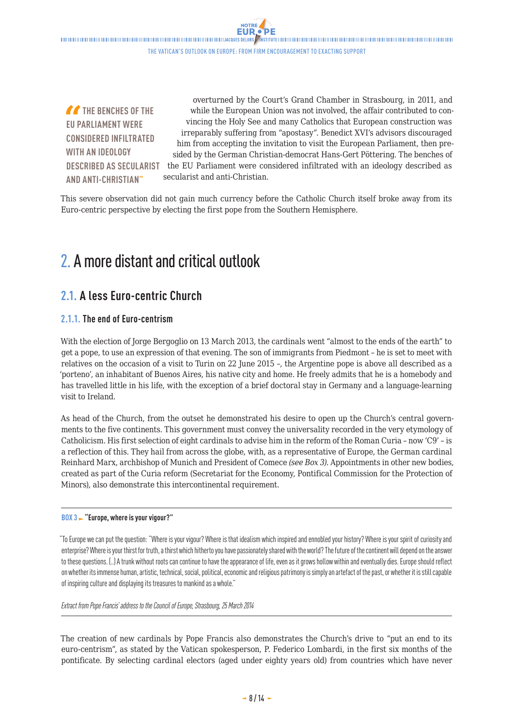<span id="page-7-0"></span> $\blacksquare$ The Vatican's outlook on Europe: from firm encouragement to exacting support

**THE BENCHES OF THE EU PARLIAMENT WERE CONSIDERED INFILTRATED WITH AN IDEOLOGY DESCRIBED AS SECULARIST AND ANTI-CHRISTIAN"**

overturned by the Court's Grand Chamber in Strasbourg, in 2011, and while the European Union was not involved, the affair contributed to convincing the Holy See and many Catholics that European construction was irreparably suffering from "apostasy". Benedict XVI's advisors discouraged him from accepting the invitation to visit the European Parliament, then presided by the German Christian-democrat Hans-Gert Pöttering. The benches of the EU Parliament were considered infiltrated with an ideology described as secularist and anti-Christian.

This severe observation did not gain much currency before the Catholic Church itself broke away from its Euro-centric perspective by electing the first pope from the Southern Hemisphere.

# 2. A more distant and critical outlook

# **2.1. A less Euro-centric Church**

## **2.1.1. The end of Euro-centrism**

With the election of Jorge Bergoglio on 13 March 2013, the cardinals went "almost to the ends of the earth" to get a pope, to use an expression of that evening. The son of immigrants from Piedmont – he is set to meet with relatives on the occasion of a visit to Turin on 22 June 2015 –, the Argentine pope is above all described as a 'porteno', an inhabitant of Buenos Aires, his native city and home. He freely admits that he is a homebody and has travelled little in his life, with the exception of a brief doctoral stay in Germany and a language-learning visit to Ireland.

As head of the Church, from the outset he demonstrated his desire to open up the Church's central governments to the five continents. This government must convey the universality recorded in the very etymology of Catholicism. His first selection of eight cardinals to advise him in the reform of the Roman Curia – now 'C9' – is a reflection of this. They hail from across the globe, with, as a representative of Europe, the German cardinal Reinhard Marx, archbishop of Munich and President of Comece *(see Box 3)*. Appointments in other new bodies, created as part of the Curia reform (Secretariat for the Economy, Pontifical Commission for the Protection of Minors), also demonstrate this intercontinental requirement.

#### **BOX 3 "Europe, where is your vigour?"**

"To Europe we can put the question: "Where is your vigour? Where is that idealism which inspired and ennobled your history? Where is your spirit of curiosity and enterprise? Where is your thirst for truth, a thirst which hitherto you have passionately shared with the world? The future of the continent will depend on the answer to these questions. (..) A trunk without roots can continue to have the appearance of life, even as it grows hollow within and eventually dies. Europe should reflect on whether its immense human, artistic, technical, social, political, economic and religious patrimony is simply an artefact of the past, or whether it is still capable of inspiring culture and displaying its treasures to mankind as a whole."

#### *Extract from Pope Francis' address to the Council of Europe, Strasbourg, 25 March 2014*

The creation of new cardinals by Pope Francis also demonstrates the Church's drive to "put an end to its euro-centrism", as stated by the Vatican spokesperson, P. Federico Lombardi, in the first six months of the pontificate. By selecting cardinal electors (aged under eighty years old) from countries which have never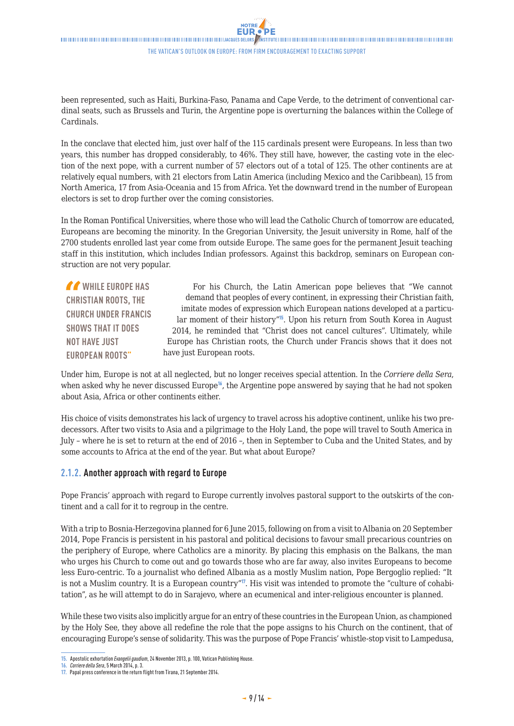**NOTRE** 

<span id="page-8-0"></span>been represented, such as Haiti, Burkina-Faso, Panama and Cape Verde, to the detriment of conventional cardinal seats, such as Brussels and Turin, the Argentine pope is overturning the balances within the College of Cardinals.

In the conclave that elected him, just over half of the 115 cardinals present were Europeans. In less than two years, this number has dropped considerably, to 46%. They still have, however, the casting vote in the election of the next pope, with a current number of 57 electors out of a total of 125. The other continents are at relatively equal numbers, with 21 electors from Latin America (including Mexico and the Caribbean), 15 from North America, 17 from Asia-Oceania and 15 from Africa. Yet the downward trend in the number of European electors is set to drop further over the coming consistories.

In the Roman Pontifical Universities, where those who will lead the Catholic Church of tomorrow are educated, Europeans are becoming the minority. In the Gregorian University, the Jesuit university in Rome, half of the 2700 students enrolled last year come from outside Europe. The same goes for the permanent Jesuit teaching staff in this institution, which includes Indian professors. Against this backdrop, seminars on European construction are not very popular.

*CONTROVERS* **CHRISTIAN ROOTS, THE CHURCH UNDER FRANCIS SHOWS THAT IT DOES NOT HAVE JUST EUROPEAN ROOTS"** For his Church, the Latin American pope believes that "We cannot demand that peoples of every continent, in expressing their Christian faith, imitate modes of expression which European nations developed at a particular moment of their history"<sup>15</sup>. Upon his return from South Korea in August 2014, he reminded that "Christ does not cancel cultures". Ultimately, while Europe has Christian roots, the Church under Francis shows that it does not have just European roots.

Under him, Europe is not at all neglected, but no longer receives special attention. In the *Corriere della Sera*, when asked why he never discussed Europe<sup>16</sup>, the Argentine pope answered by saying that he had not spoken about Asia, Africa or other continents either.

His choice of visits demonstrates his lack of urgency to travel across his adoptive continent, unlike his two predecessors. After two visits to Asia and a pilgrimage to the Holy Land, the pope will travel to South America in July – where he is set to return at the end of 2016 –, then in September to Cuba and the United States, and by some accounts to Africa at the end of the year. But what about Europe?

### **2.1.2. Another approach with regard to Europe**

Pope Francis' approach with regard to Europe currently involves pastoral support to the outskirts of the continent and a call for it to regroup in the centre.

With a trip to Bosnia-Herzegovina planned for 6 June 2015, following on from a visit to Albania on 20 September 2014, Pope Francis is persistent in his pastoral and political decisions to favour small precarious countries on the periphery of Europe, where Catholics are a minority. By placing this emphasis on the Balkans, the man who urges his Church to come out and go towards those who are far away, also invites Europeans to become less Euro-centric. To a journalist who defined Albania as a mostly Muslim nation, Pope Bergoglio replied: "It is not a Muslim country. It is a European country"<sup>1</sup>. His visit was intended to promote the "culture of cohabitation", as he will attempt to do in Sarajevo, where an ecumenical and inter-religious encounter is planned.

While these two visits also implicitly argue for an entry of these countries in the European Union, as championed by the Holy See, they above all redefine the role that the pope assigns to his Church on the continent, that of encouraging Europe's sense of solidarity. This was the purpose of Pope Francis' whistle-stop visit to Lampedusa,

**<sup>15.</sup>** Apostolic exhortation *Evangelii gaudium*, 24 November 2013, p. 100, Vatican Publishing House.

**<sup>16.</sup>** *Corriere della Sera*, 5 March 2014, p. 3.

**<sup>17.</sup>** Papal press conference in the return flight from Tirana, 21 September 2014.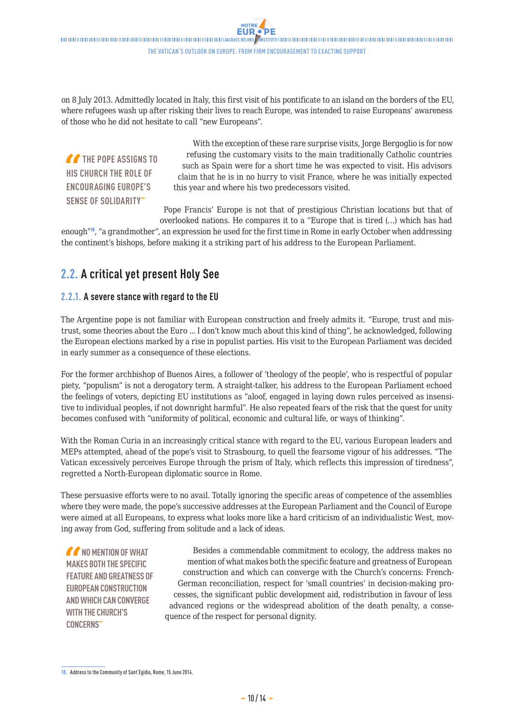<span id="page-9-0"></span>on 8 July 2013. Admittedly located in Italy, this first visit of his pontificate to an island on the borders of the EU, where refugees wash up after risking their lives to reach Europe, was intended to raise Europeans' awareness of those who he did not hesitate to call "new Europeans".

**THE POPE ASSIGNS TO HIS CHURCH THE ROLE OF ENCOURAGING EUROPE'S SENSE OF SOLIDARITY"**

With the exception of these rare surprise visits, Jorge Bergoglio is for now refusing the customary visits to the main traditionally Catholic countries such as Spain were for a short time he was expected to visit. His advisors claim that he is in no hurry to visit France, where he was initially expected this year and where his two predecessors visited.

Pope Francis' Europe is not that of prestigious Christian locations but that of overlooked nations. He compares it to a "Europe that is tired (…) which has had

enough"<sup>18</sup>, "a grandmother", an expression he used for the first time in Rome in early October when addressing the continent's bishops, before making it a striking part of his address to the European Parliament.

## **2.2. A critical yet present Holy See**

## **2.2.1. A severe stance with regard to the EU**

The Argentine pope is not familiar with European construction and freely admits it. "Europe, trust and mistrust, some theories about the Euro ... I don't know much about this kind of thing", he acknowledged, following the European elections marked by a rise in populist parties. His visit to the European Parliament was decided in early summer as a consequence of these elections.

For the former archbishop of Buenos Aires, a follower of 'theology of the people', who is respectful of popular piety, "populism" is not a derogatory term. A straight-talker, his address to the European Parliament echoed the feelings of voters, depicting EU institutions as "aloof, engaged in laying down rules perceived as insensitive to individual peoples, if not downright harmful". He also repeated fears of the risk that the quest for unity becomes confused with "uniformity of political, economic and cultural life, or ways of thinking".

With the Roman Curia in an increasingly critical stance with regard to the EU, various European leaders and MEPs attempted, ahead of the pope's visit to Strasbourg, to quell the fearsome vigour of his addresses. "The Vatican excessively perceives Europe through the prism of Italy, which reflects this impression of tiredness", regretted a North-European diplomatic source in Rome.

These persuasive efforts were to no avail. Totally ignoring the specific areas of competence of the assemblies where they were made, the pope's successive addresses at the European Parliament and the Council of Europe were aimed at all Europeans, to express what looks more like a hard criticism of an individualistic West, moving away from God, suffering from solitude and a lack of ideas.

*MA* NO MENTION OF WHAT **MAKES BOTH THE SPECIFIC FEATURE AND GREATNESS OF EUROPEAN CONSTRUCTION AND WHICH CAN CONVERGE WITH THE CHURCH'S CONCERNS"**

Besides a commendable commitment to ecology, the address makes no mention of what makes both the specific feature and greatness of European construction and which can converge with the Church's concerns: French-German reconciliation, respect for 'small countries' in decision-making processes, the significant public development aid, redistribution in favour of less advanced regions or the widespread abolition of the death penalty, a consequence of the respect for personal dignity.

**<sup>18.</sup>** Address to the Community of Sant'Egidio, Rome, 15 June 2014.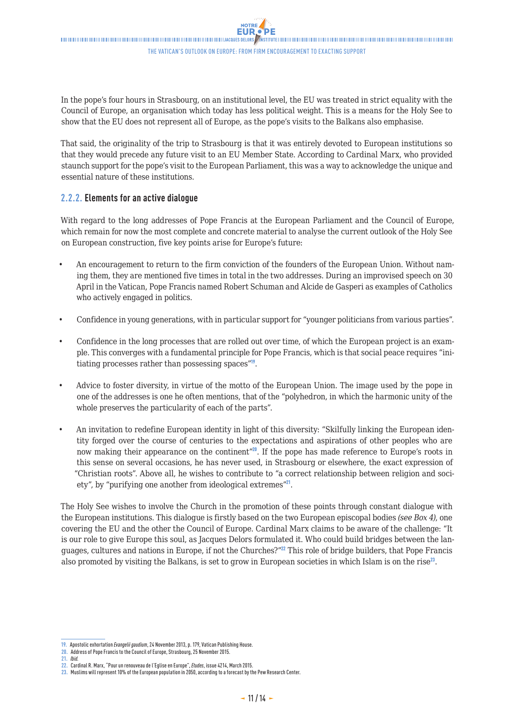<span id="page-10-0"></span>In the pope's four hours in Strasbourg, on an institutional level, the EU was treated in strict equality with the Council of Europe, an organisation which today has less political weight. This is a means for the Holy See to show that the EU does not represent all of Europe, as the pope's visits to the Balkans also emphasise.

That said, the originality of the trip to Strasbourg is that it was entirely devoted to European institutions so that they would precede any future visit to an EU Member State. According to Cardinal Marx, who provided staunch support for the pope's visit to the European Parliament, this was a way to acknowledge the unique and essential nature of these institutions.

### **2.2.2. Elements for an active dialogue**

With regard to the long addresses of Pope Francis at the European Parliament and the Council of Europe, which remain for now the most complete and concrete material to analyse the current outlook of the Holy See on European construction, five key points arise for Europe's future:

- An encouragement to return to the firm conviction of the founders of the European Union. Without naming them, they are mentioned five times in total in the two addresses. During an improvised speech on 30 April in the Vatican, Pope Francis named Robert Schuman and Alcide de Gasperi as examples of Catholics who actively engaged in politics.
- Confidence in young generations, with in particular support for "younger politicians from various parties".
- Confidence in the long processes that are rolled out over time, of which the European project is an example. This converges with a fundamental principle for Pope Francis, which is that social peace requires "initiating processes rather than possessing spaces"<sup>19</sup>.
- Advice to foster diversity, in virtue of the motto of the European Union. The image used by the pope in one of the addresses is one he often mentions, that of the "polyhedron, in which the harmonic unity of the whole preserves the particularity of each of the parts".
- An invitation to redefine European identity in light of this diversity: "Skilfully linking the European identity forged over the course of centuries to the expectations and aspirations of other peoples who are now making their appearance on the continent"<sup>20</sup>. If the pope has made reference to Europe's roots in this sense on several occasions, he has never used, in Strasbourg or elsewhere, the exact expression of "Christian roots". Above all, he wishes to contribute to "a correct relationship between religion and society", by "purifying one another from ideological extremes"<sup>21</sup>.

The Holy See wishes to involve the Church in the promotion of these points through constant dialogue with the European institutions. This dialogue is firstly based on the two European episcopal bodies *(see Box 4)*, one covering the EU and the other the Council of Europe. Cardinal Marx claims to be aware of the challenge: "It is our role to give Europe this soul, as Jacques Delors formulated it. Who could build bridges between the languages, cultures and nations in Europe, if not the Churches?"<sup>22</sup> This role of bridge builders, that Pope Francis also promoted by visiting the Balkans, is set to grow in European societies in which Islam is on the rise<sup>23</sup>.

**<sup>19.</sup>** Apostolic exhortation *Evangelii gaudium*, 24 November 2013, p. 179, Vatican Publishing House.

**<sup>20.</sup>** Address of Pope Francis to the Council of Europe, Strasbourg, 25 November 2015.

**<sup>21.</sup>** *Ibid.*

**<sup>22.</sup>** Cardinal R. Marx, "Pour un renouveau de l'Eglise en Europe", *Etudes*, issue 4214, March 2015.

**<sup>23.</sup>** Muslims will represent 10% of the European population in 2050, according to a forecast by the Pew Research Center.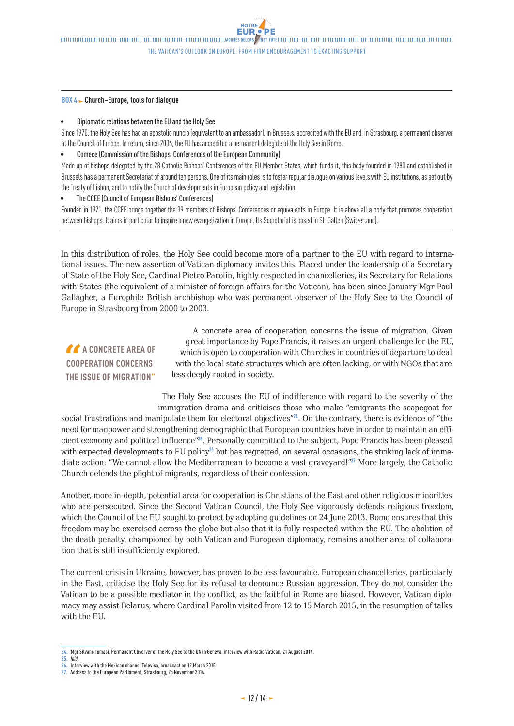The Vatican's outlook on Europe: from firm encouragement to exacting support

#### **BOX 4 Church–Europe, tools for dialogue**

#### • Diplomatic relations between the EU and the Holy See

Since 1970, the Holy See has had an apostolic nuncio (equivalent to an ambassador), in Brussels, accredited with the EU and, in Strasbourg, a permanent observer at the Council of Europe. In return, since 2006, the EU has accredited a permanent delegate at the Holy See in Rome.

#### • Comece (Commission of the Bishops' Conferences of the European Community)

Made up of bishops delegated by the 28 Catholic Bishops' Conferences of the EU Member States, which funds it, this body founded in 1980 and established in Brussels has a permanent Secretariat of around ten persons. One of its main roles is to foster regular dialogue on various levels with EU institutions, as set out by the Treaty of Lisbon, and to notify the Church of developments in European policy and legislation.

#### • The CCEE (Council of European Bishops' Conferences)

Founded in 1971, the CCEE brings together the 39 members of Bishops' Conferences or equivalents in Europe. It is above all a body that promotes cooperation between bishops. It aims in particular to inspire a new evangelization in Europe. Its Secretariat is based in St. Gallen (Switzerland).

In this distribution of roles, the Holy See could become more of a partner to the EU with regard to international issues. The new assertion of Vatican diplomacy invites this. Placed under the leadership of a Secretary of State of the Holy See, Cardinal Pietro Parolin, highly respected in chancelleries, its Secretary for Relations with States (the equivalent of a minister of foreign affairs for the Vatican), has been since January Mgr Paul Gallagher, a Europhile British archbishop who was permanent observer of the Holy See to the Council of Europe in Strasbourg from 2000 to 2003.

**A A CONCRETE AREA OF COOPERATION CONCERNS THE ISSUE OF MIGRATION"**

A concrete area of cooperation concerns the issue of migration. Given great importance by Pope Francis, it raises an urgent challenge for the EU, which is open to cooperation with Churches in countries of departure to deal with the local state structures which are often lacking, or with NGOs that are less deeply rooted in society.

The Holy See accuses the EU of indifference with regard to the severity of the immigration drama and criticises those who make "emigrants the scapegoat for social frustrations and manipulate them for electoral objectives"<sup>24</sup>. On the contrary, there is evidence of "the need for manpower and strengthening demographic that European countries have in order to maintain an efficient economy and political influence"<sup>25</sup>. Personally committed to the subject, Pope Francis has been pleased with expected developments to EU policy<sup>26</sup> but has regretted, on several occasions, the striking lack of immediate action: "We cannot allow the Mediterranean to become a vast graveyard!"<sup>27</sup> More largely, the Catholic

Another, more in-depth, potential area for cooperation is Christians of the East and other religious minorities who are persecuted. Since the Second Vatican Council, the Holy See vigorously defends religious freedom, which the Council of the EU sought to protect by adopting guidelines on 24 June 2013. Rome ensures that this freedom may be exercised across the globe but also that it is fully respected within the EU. The abolition of the death penalty, championed by both Vatican and European diplomacy, remains another area of collaboration that is still insufficiently explored.

The current crisis in Ukraine, however, has proven to be less favourable. European chancelleries, particularly in the East, criticise the Holy See for its refusal to denounce Russian aggression. They do not consider the Vatican to be a possible mediator in the conflict, as the faithful in Rome are biased. However, Vatican diplomacy may assist Belarus, where Cardinal Parolin visited from 12 to 15 March 2015, in the resumption of talks with the EU.

Church defends the plight of migrants, regardless of their confession.

**<sup>24.</sup>** Mgr Silvano Tomasi, Permanent Observer of the Holy See to the UN in Geneva, interview with Radio Vatican, 21 August 2014. **25.** *Ibid.*

**<sup>26.</sup>** Interview with the Mexican channel Televisa, broadcast on 12 March 2015.

**<sup>27.</sup>** Address to the European Parliament, Strasbourg, 25 November 2014.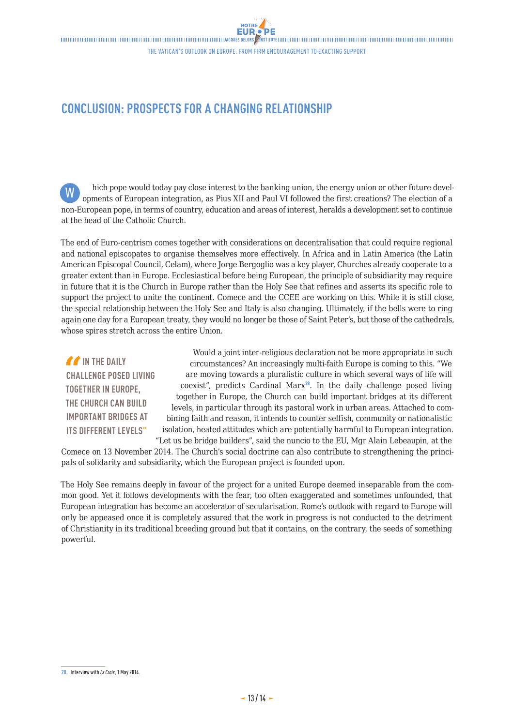# <span id="page-12-0"></span>**CONCLUSION: PROSPECTS FOR A CHANGING RELATIONSHIP**

hich pope would today pay close interest to the banking union, the energy union or other future developments of European integration, as Pius XII and Paul VI followed the first creations? The election of a non-European pope, in terms of country, education and areas of interest, heralds a development set to continue at the head of the Catholic Church. W

The end of Euro-centrism comes together with considerations on decentralisation that could require regional and national episcopates to organise themselves more effectively. In Africa and in Latin America (the Latin American Episcopal Council, Celam), where Jorge Bergoglio was a key player, Churches already cooperate to a greater extent than in Europe. Ecclesiastical before being European, the principle of subsidiarity may require in future that it is the Church in Europe rather than the Holy See that refines and asserts its specific role to support the project to unite the continent. Comece and the CCEE are working on this. While it is still close, the special relationship between the Holy See and Italy is also changing. Ultimately, if the bells were to ring again one day for a European treaty, they would no longer be those of Saint Peter's, but those of the cathedrals, whose spires stretch across the entire Union.

*If* IN THE DAILY **CHALLENGE POSED LIVING TOGETHER IN EUROPE, THE CHURCH CAN BUILD IMPORTANT BRIDGES AT ITS DIFFERENT LEVELS"**

Would a joint inter-religious declaration not be more appropriate in such circumstances? An increasingly multi-faith Europe is coming to this. "We are moving towards a pluralistic culture in which several ways of life will coexist", predicts Cardinal Marx<sup>28</sup>. In the daily challenge posed living together in Europe, the Church can build important bridges at its different levels, in particular through its pastoral work in urban areas. Attached to combining faith and reason, it intends to counter selfish, community or nationalistic isolation, heated attitudes which are potentially harmful to European integration. "Let us be bridge builders", said the nuncio to the EU, Mgr Alain Lebeaupin, at the

Comece on 13 November 2014. The Church's social doctrine can also contribute to strengthening the principals of solidarity and subsidiarity, which the European project is founded upon.

The Holy See remains deeply in favour of the project for a united Europe deemed inseparable from the common good. Yet it follows developments with the fear, too often exaggerated and sometimes unfounded, that European integration has become an accelerator of secularisation. Rome's outlook with regard to Europe will only be appeased once it is completely assured that the work in progress is not conducted to the detriment of Christianity in its traditional breeding ground but that it contains, on the contrary, the seeds of something powerful.

**<sup>28.</sup>** Interview with *La Croix*, 1 May 2014.